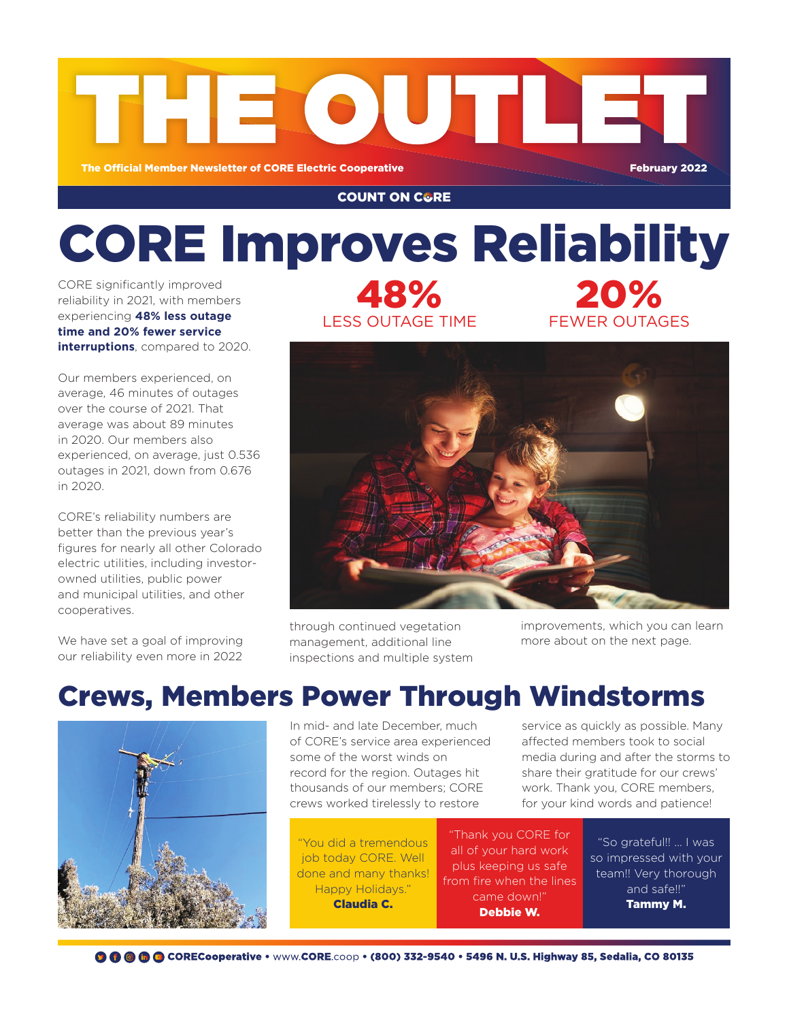

### **COUNT ON C&RE**

# CORE Improves Reliability 20%

CORE significantly improved reliability in 2021, with members experiencing **48% less outage time and 20% fewer service interruptions**, compared to 2020.

Our members experienced, on average, 46 minutes of outages over the course of 2021. That average was about 89 minutes in 2020. Our members also experienced, on average, just 0.536 outages in 2021, down from 0.676 in 2020.

CORE's reliability numbers are better than the previous year's figures for nearly all other Colorado electric utilities, including investorowned utilities, public power and municipal utilities, and other cooperatives.

We have set a goal of improving our reliability even more in 2022





through continued vegetation management, additional line inspections and multiple system improvements, which you can learn more about on the next page.

FEWER OUTAGES

## Crews, Members Power Through Windstorms



In mid- and late December, much of CORE's service area experienced some of the worst winds on record for the region. Outages hit thousands of our members; CORE crews worked tirelessly to restore

"You did a tremendous job today CORE. Well done and many thanks! Happy Holidays." Claudia C.

service as quickly as possible. Many affected members took to social media during and after the storms to share their gratitude for our crews' work. Thank you, CORE members, for your kind words and patience!

"Thank you CORE for all of your hard work plus keeping us safe from fire when the lines came down!" Debbie W.

"So grateful!! ... I was so impressed with your team!! Very thorough and safe!!" Tammy M.

**◎ ● ● ● ● CORECooperative •** www.CORE.coop • (800) 332-9540 • 5496 N. U.S. Highway 85, Sedalia, CO 80135